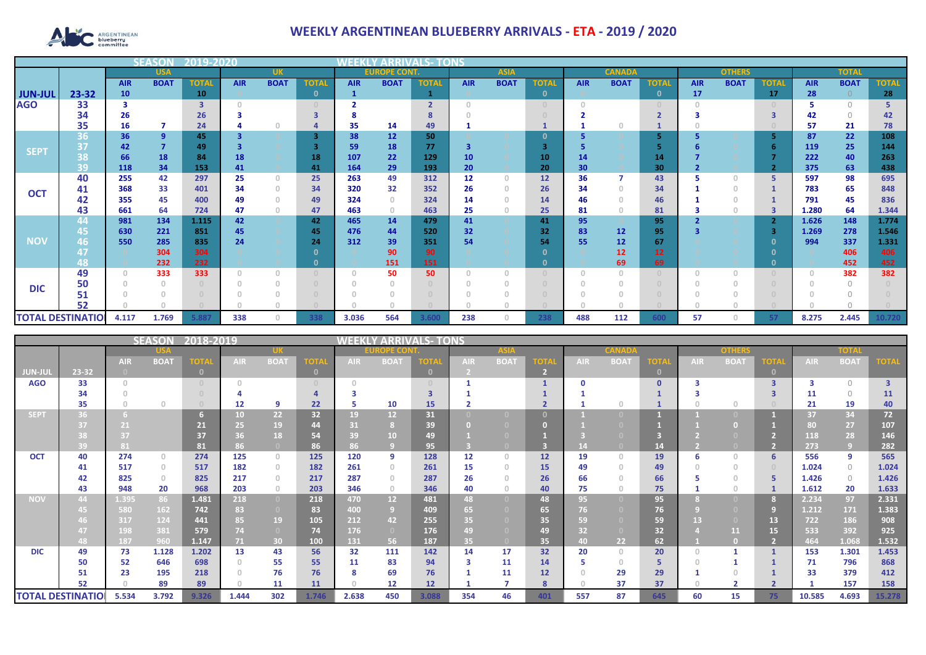

## **WEEKLY ARGENTINEAN BLUEBERRY ARRIVALS - ETA - 2019 / 2020**

|                          |            |            | SFAS           | 12019-2020   |            |                                  |              |                     |             |                |            |             |               |            |                 |               |            |             |              |            |                |              |
|--------------------------|------------|------------|----------------|--------------|------------|----------------------------------|--------------|---------------------|-------------|----------------|------------|-------------|---------------|------------|-----------------|---------------|------------|-------------|--------------|------------|----------------|--------------|
|                          | <b>USA</b> |            |                | <b>UK</b>    |            |                                  |              | <b>EUROPE CONT.</b> |             | <b>ASIA</b>    |            |             | <b>CANADA</b> |            |                 | <b>OTHERS</b> |            |             | <b>TOTAL</b> |            |                |              |
|                          |            | <b>AIR</b> | <b>BOAT</b>    | <b>TOTAL</b> | <b>AIR</b> | <b>BOAT</b>                      | <b>TOTA</b>  | <b>AIR</b>          | <b>BOAT</b> | <b>TOTAL</b>   | <b>AIR</b> | <b>BOAT</b> | <b>TOTAI</b>  | <b>AIR</b> | <b>BOAT</b>     | <b>TOTAL</b>  | <b>AIR</b> | <b>BOAT</b> | TOTAL        | <b>AIR</b> | <b>BOAT</b>    | <b>TOTAL</b> |
| <b>JUN-JUL</b>           | 23-32      | 10         |                | 10           |            |                                  | $\mathbf{0}$ | $\mathbf{1}$        |             |                |            |             | $\mathbf 0$   |            |                 | $\mathbf{0}$  | 17         |             | 17           | 28         | $\overline{0}$ | 28           |
| <b>AGO</b>               | 33         |            |                | 3            |            |                                  |              |                     |             | $\overline{2}$ | $\cap$     |             | $\cap$        |            |                 |               |            |             |              |            | $\bigcap$      |              |
|                          | 34         | 26         |                | 26           |            |                                  |              |                     |             |                |            |             |               |            |                 |               |            |             |              | 42         | $\Omega$       | 42.          |
|                          | 35         | 16         |                | 24           |            |                                  |              | 35                  | 14          | 49             |            |             |               |            |                 |               |            |             |              | 57         | 21             | 78           |
|                          | 36         | 36         | $\overline{9}$ | 45           |            |                                  | 3            | 38                  | 12          | 50             |            |             | 0             |            |                 | 5             |            |             |              | 87         | 22             | 108          |
| <b>SEPT</b>              | 37         | 42         | $\overline{7}$ | 49           |            |                                  |              | 59                  | 18          | 77             | 3          |             | з             |            |                 |               |            |             |              | 119        | 25             | 144          |
|                          | 38         | 66         | 18             | 84           | 18         |                                  | 18           | 107                 | 22          | 129            | 10         |             | 10            | 14         |                 | 14            |            |             |              | 222        | 40             | 263          |
|                          | 39         | 118        | 34             | 153          | 41         |                                  | 41           | 164                 | 29          | 193            | 20         |             | 20            | 30         |                 | 30            |            |             |              | 375        | 63             | 438          |
| <b>OCT</b>               | 40         | 255        | 42             | 297          | 25         | $\begin{array}{c} \n\end{array}$ | 25           | 263                 | 49          | 312            | 12         | $\cap$      | 12            | 36         |                 | 43            |            | $\Omega$    | 5            | 597        | 98             | 695          |
|                          | 41         | 368        | 33             | 401          | 34         | $\Omega$                         | 34           | 320                 | 32          | 352            | 26         | $\Box$      | 26            | 34         |                 | 34            |            | $\Omega$    |              | 783        | 65             | 848          |
|                          | 42         | 355        | 45             | 400          | 49         | $\Omega$                         | 49           | 324                 | $\Omega$    | 324            | 14         |             | 14            | 46         |                 | 46            |            | $\Omega$    |              | 791        | 45             | 836          |
|                          | 43         | 661        | 64             | 724          | 47         | $\Omega$                         | 47           | 463                 | $\circ$     | 463            | 25         | $\Box$      | 25            | 81         |                 | 81            |            | $\circ$     | 3            | 1.280      | 64             | 1.344        |
|                          | 44         | 981        | 134            | 1.115        | 42         |                                  | 42           | 465                 | 14          | 479            | 41         |             | 41            | 95         |                 | 95            |            |             |              | 1.626      | 148            | 1.774        |
|                          | 45         | 630        | 221            | 851          | 45         |                                  | 45           | 476                 | 44          | 520            | 32         |             | 32            | 83         | 12              | 95            |            |             | -3           | 1.269      | 278            | 1.546        |
| <b>NOV</b>               | 46         | 550        | 285            | 835          | 24         |                                  | 24           | 312                 | 39          | 351            | 54         |             | 54            | 55         | 12 <sup>2</sup> | 67            |            |             |              | 994        | 337            | 1.331        |
|                          |            |            | 304            | 304          |            |                                  |              |                     | 90          | 90             |            |             |               |            | 12              | 12            |            |             |              |            | 406            | 406          |
|                          | 48         |            | 232            | 232          |            |                                  |              |                     | 151         | 151            |            |             | 0             |            | 69              | 69            |            |             |              |            | 452            | 452          |
|                          | 49         |            | 333            | 333          |            | $\Omega$                         |              | $\Omega$            | 50          | 50             | $\Omega$   |             |               |            |                 |               |            | $\Omega$    |              |            | 382            | 382          |
| <b>DIC</b>               | 50         |            |                |              |            |                                  |              |                     |             |                |            |             |               |            |                 |               |            |             |              |            |                |              |
|                          | 51         |            |                |              |            |                                  |              |                     |             |                |            |             |               |            |                 |               |            |             |              |            |                |              |
|                          | 52         |            |                |              |            |                                  |              |                     |             |                |            |             |               |            |                 |               |            |             |              |            |                |              |
| <b>TOTAL DESTINATIOL</b> |            | 4.117      | 1.769          | 5.887        | 338        | O.                               | 338          | 3.036               | 564         | 3.600          | 238        |             | 238           | 488        | 112             | 600           | 57         | $\cap$      |              | 8.275      | 2.445          | 10.720       |

|                          |       |            | <b>SEASON</b> | 2018-2019    |            |                                       |                   |            |                 | <b>/ ARRIVALS- TONS</b> |            |             |        |            |             |               |            |                |        |            |                |                         |
|--------------------------|-------|------------|---------------|--------------|------------|---------------------------------------|-------------------|------------|-----------------|-------------------------|------------|-------------|--------|------------|-------------|---------------|------------|----------------|--------|------------|----------------|-------------------------|
|                          |       |            |               |              |            |                                       | <u> 12 = C(0)</u> |            |                 | <b>ASIA</b>             |            |             | CANADA |            |             | <b>OTHERS</b> |            |                | TOTA   |            |                |                         |
|                          |       | <b>AIR</b> | <b>BOAT</b>   | <b>TOTAL</b> | <b>AIR</b> | <b>BOAT</b>                           | гот.              | <b>AIR</b> | <b>BOAT</b>     | <b>TOTA</b>             | <b>AIR</b> | <b>BOAT</b> | тот,   | <b>AIR</b> | <b>BOAT</b> | готд          | <b>AIR</b> | <b>BOA1</b>    | II OTV | <b>AIR</b> | <b>BOAT</b>    |                         |
| JUN-JUI                  | 23-32 |            |               | $\sqrt{2}$   |            |                                       | $\mathbf{0}$      |            |                 | $\mathbf{0}$            |            |             | 2      |            |             | $\mathbf{0}$  |            |                |        |            |                |                         |
| <b>AGO</b>               | 33    |            |               |              |            |                                       |                   |            |                 |                         |            |             |        |            |             | $\Omega$      |            |                |        |            | $\bigcap$      | $\overline{\mathbf{3}}$ |
|                          | 34    |            |               |              |            |                                       |                   |            |                 |                         |            |             |        |            |             |               |            |                |        | 11         | $\Omega$       | 11                      |
|                          | 35    |            | $\Omega$      |              | 12         | 9                                     | 22                | 5          | 10              | 15                      |            |             |        |            |             |               |            | $\cap$         |        | 21         | 19             | 40                      |
| <b>SEPT</b>              | 36    |            |               |              | 10         | 22                                    | 32                | 19         | 12              | 31                      |            |             | n      |            |             |               |            |                |        | 37         | 34             | 72                      |
|                          |       |            |               | 21           | 25         | 19                                    | 44                | 31         |                 | 39                      |            |             |        |            |             |               |            |                |        | 80         | 27             | 107                     |
|                          |       |            |               | 37           | 36         | 18                                    | 54                | 39         | 10 <sup>°</sup> | 49                      |            |             |        |            |             |               |            |                |        | 118        | 28             | 146                     |
|                          | 39    | 81         |               | 81           | 86         | $\bullet$                             | 86                | 86         |                 | 95                      |            |             |        |            |             | 14            |            |                |        | 273        | $\overline{9}$ | 282                     |
| <b>OCT</b>               | 40    | 274        | $\circ$       | 274          | 125        | $\circ$                               | 125               | 120        | 9               | 128                     | 12         | $\Box$      | 12     | 19         | $\cap$      | 19            | 6          | $\Omega$       | 6      | 556        | 9              | 565                     |
|                          | 41    | 517        | $\circ$       | 517          | 182        | $\circ$                               | 182               | 261        | $\Omega$        | 261                     | 15         | n           | 15     | 49         | $\cap$      | 49            |            | $\Box$         |        | 1.024      | $\circ$        | 1.024                   |
|                          | 42    | 825        | $\circ$       | 825          | 217        | $\begin{array}{c} 0 \\ 0 \end{array}$ | 217               | 287        | $\bigcap$       | 287                     | 26         |             | 26     | 66         |             | 66            |            |                |        | 1.426      | $\circ$        | 1.426                   |
|                          | 43    | 948        | 20            | 968          | 203        | $\circ$                               | 203               | 346        | $\circ$         | 346                     | 40         |             | 40     | 75         |             | 75            |            | $\cap$         |        | 1.612      | 20             | 1.633                   |
| <b>NOV</b>               | 44    | 1.395      | 86            | 1.481        | 218        | $\overline{0}$                        | 218               | 470        | 12 <sup>7</sup> | 481                     | 48         |             | 48     | 95         |             | 95            |            |                |        | 2.234      | 97             | 2.331                   |
|                          |       | 580        | 162           | 742          | 83         | $\Box$                                | 83                | 400        | 9               | 409                     | 65         |             | 65     | 76         |             | 76            |            |                | 9      | 1.212      | 171            | 1.383                   |
|                          |       | 317        | 124           | 441          | 85         | 19                                    | 105               | 212        | 42              | 255                     | 35         |             | 35     | 59         |             | 59            |            |                | 13     | 722        | 186            | 908                     |
|                          |       | 198        | 381           | 579          | 74         | $\overline{0}$                        | 74                | 176        | $\Box$          | 176                     | 49         |             | 49     | 32         |             | 32            |            | 11             | 15     | 533        | 392            | 925                     |
|                          | 48    | 187        | 960           | 1.147        | 71.        | 30                                    | 100               | 131        | 56              | 187                     | 35         |             | 35     | 40         | 22          | 62            |            |                |        | 464        | 1.068          | 1.532                   |
| <b>DIC</b>               | 49    | 73         | 1.128         | 1.202        | 13         | 43                                    | 56                | 32         | 111             | 142                     | 14         | 17          | 32     | 20         | $\Omega$    | 20            |            |                |        | 153        | 1.301          | 1.453                   |
|                          | 50    | 52         | 646           | 698          |            | 55                                    | 55                | 11         | 83              | 94                      | 3          | 11          | 14     |            | 0           | 5             |            |                |        | 71         | 796            | 868                     |
|                          | 51    | 23         | 195           | 218          |            | 76                                    | 76                | 8          | 69              | 76                      |            | 11          | 12     |            | 29          | 29            |            |                |        | 33         | 379            | 412                     |
|                          | 52    |            | 89            | 89           |            | 11                                    | 11                |            | 12              | 12                      |            |             | 8      |            | 37          | 37            |            | $\overline{2}$ |        |            | 157            | 158                     |
| <b>TOTAL DESTINATIOI</b> |       | 5.534      | 3.792         | 9.326        | 1.444      | 302                                   | 1.746             | 2.638      | 450             | 3.088                   | 354        | 46          | 401    | 557        | 87          | 645           | 60         | 15             | 75     | 10.585     | 4.693          | 15.278                  |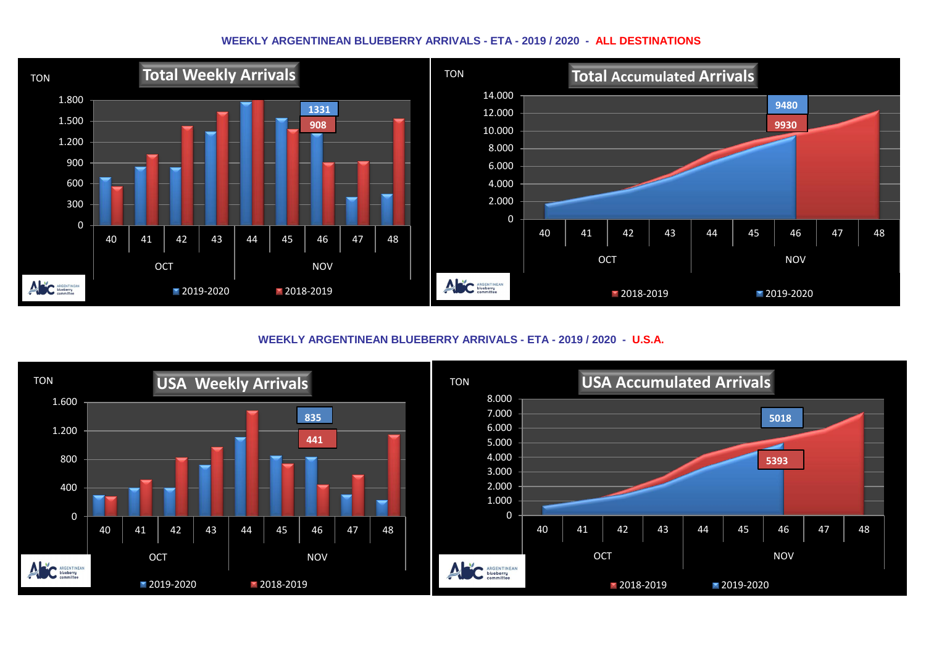## **WEEKLY ARGENTINEAN BLUEBERRY ARRIVALS - ETA - 2019 / 2020 - ALL DESTINATIONS**



**WEEKLY ARGENTINEAN BLUEBERRY ARRIVALS - ETA - 2019 / 2020 - U.S.A.**

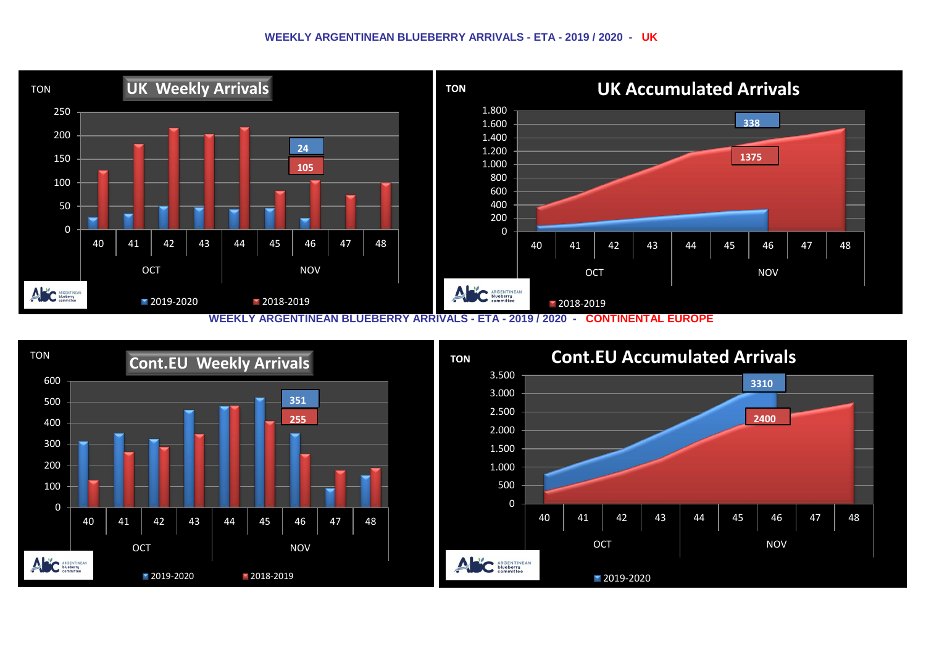## **WEEKLY ARGENTINEAN BLUEBERRY ARRIVALS - ETA - 2019 / 2020 - UK**